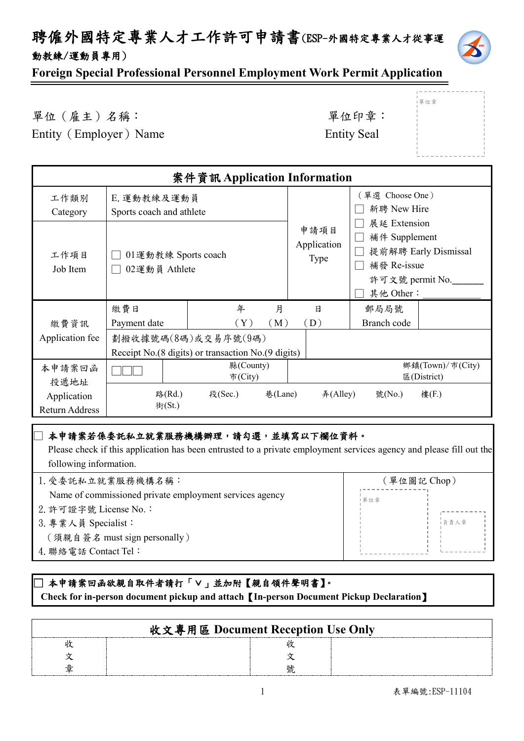# 聘僱外國特定專業人才工作許可申請書(ESP-外國特定專業人才從事運 動教練/運動員專用)



單位章

**Foreign Special Professional Personnel Employment Work Permit Application**

單位(雇主)名稱: 第六章: 李仁平 李 里位印章: Entity (Employer) Name Entity Seal

| 案件資訊 Application Information         |                                         |                                                                             |         |                                    |                                                                              |                      |                                 |
|--------------------------------------|-----------------------------------------|-----------------------------------------------------------------------------|---------|------------------------------------|------------------------------------------------------------------------------|----------------------|---------------------------------|
| 工作類別<br>Category                     | E. 運動教練及運動員<br>Sports coach and athlete |                                                                             |         |                                    | (單選 Choose One)<br>新聘 New Hire                                               |                      |                                 |
| 工作項目<br>Job Item                     | 02運動員 Athlete                           | 01運動教練 Sports coach                                                         |         | 申請項目<br>Application<br><b>Type</b> | 展延 Extension<br>補件 Supplement<br>補發 Re-issue<br>許可文號 permit No.<br>其他 Other: | 提前解聘 Early Dismissal |                                 |
|                                      | 繳費日                                     | 年                                                                           | 月       |                                    | 日                                                                            | 郵局局號                 |                                 |
| 繳費資訊                                 | Payment date                            | $(\,\mathrm{Y}\,)$                                                          | (M)     |                                    | $\left( \, {\rm D} \, \right)$                                               | Branch code          |                                 |
| Application fee                      |                                         | 劃撥收據號碼(8碼)或交易序號(9碼)<br>Receipt No. (8 digits) or transaction No. (9 digits) |         |                                    |                                                                              |                      |                                 |
| 本申請案回函<br>投遞地址                       |                                         | 縣(County)<br>市(City)                                                        |         |                                    |                                                                              |                      | 鄉鎮(Town)/市(City)<br>區(District) |
| Application<br><b>Return Address</b> | 路(Rd.)<br>街(St.)                        | 段(Sec.)                                                                     | 巷(Lane) |                                    | #(Alley)                                                                     | 號(No.)               | 樓(F.)                           |

#### □本申請案若係委託私立就業服務機構辦理,請勾選,並填寫以下欄位資料。

 Please check if this application has been entrusted to a private employment services agency and please fill out the following information.

| 1. 受委託私立就業服務機構名稱:                                       | (單位圖記 Chop) |  |
|---------------------------------------------------------|-------------|--|
| Name of commissioned private employment services agency | 單位章         |  |
| 2. 許可證字號 License No.:                                   |             |  |
| 3. 專業人員 Specialist:                                     | 負責人章        |  |
| (須親自簽名 must sign personally)                            |             |  |
| 4. 聯絡電話 Contact Tel:                                    |             |  |
|                                                         |             |  |

#### **□ 本申請案回函欲親自取件者請打「∨」並加附【親自領件聲明書】。 Check for in-person document pickup and attach**【**In-person Document Pickup Declaration**】

| 收文專用區 Document Reception Use Only |  |
|-----------------------------------|--|
|                                   |  |
|                                   |  |
|                                   |  |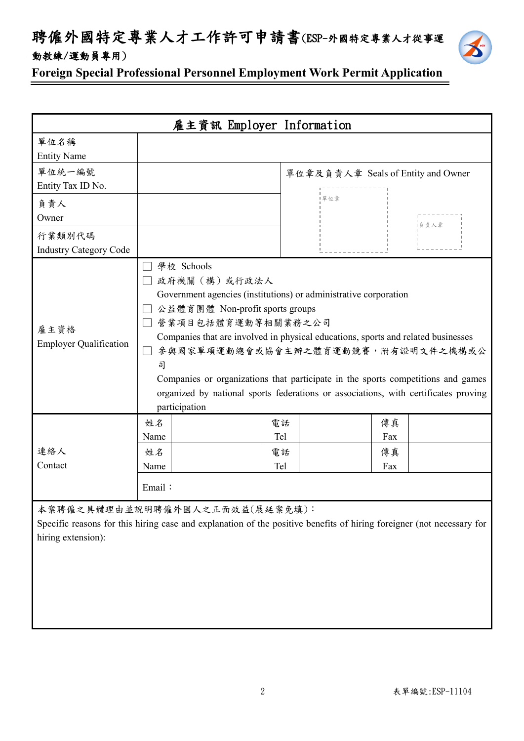聘僱外國特定專業人才工作許可申請書(ESP-外國特定專業人才從事運 動教練/運動員專用)



**Foreign Special Professional Personnel Employment Work Permit Application**

| 雇主資訊 Employer Information               |                                                                                                                                                                                                                                                                                                                                                                                                                                                                                     |                 |                                    |  |
|-----------------------------------------|-------------------------------------------------------------------------------------------------------------------------------------------------------------------------------------------------------------------------------------------------------------------------------------------------------------------------------------------------------------------------------------------------------------------------------------------------------------------------------------|-----------------|------------------------------------|--|
| 單位名稱<br><b>Entity Name</b>              |                                                                                                                                                                                                                                                                                                                                                                                                                                                                                     |                 |                                    |  |
| 單位統一編號<br>Entity Tax ID No.             |                                                                                                                                                                                                                                                                                                                                                                                                                                                                                     |                 | 單位章及負責人章 Seals of Entity and Owner |  |
| 負責人<br>Owner                            |                                                                                                                                                                                                                                                                                                                                                                                                                                                                                     | 單位章             | ■ 貪責人章                             |  |
| 行業類別代碼<br><b>Industry Category Code</b> |                                                                                                                                                                                                                                                                                                                                                                                                                                                                                     |                 |                                    |  |
| 雇主資格<br><b>Employer Qualification</b>   | 學校 Schools<br>政府機關(構)或行政法人<br>Government agencies (institutions) or administrative corporation<br>公益體育團體 Non-profit sports groups<br>營業項目包括體育運動等相關業務之公司<br>Companies that are involved in physical educations, sports and related businesses<br>參與國家單項運動總會或協會主辦之體育運動競賽,附有證明文件之機構或公<br>司<br>Companies or organizations that participate in the sports competitions and games<br>organized by national sports federations or associations, with certificates proving<br>participation |                 |                                    |  |
| 連絡人                                     | 姓名<br>Name<br>姓名                                                                                                                                                                                                                                                                                                                                                                                                                                                                    | 電話<br>Tel<br>電話 | 傳真<br>Fax<br>傳真                    |  |
| Contact                                 | Tel<br>Name<br>Fax<br>Email:                                                                                                                                                                                                                                                                                                                                                                                                                                                        |                 |                                    |  |
| hiring extension):                      | 本案聘僱之具體理由並說明聘僱外國人之正面效益(展延案免填):<br>Specific reasons for this hiring case and explanation of the positive benefits of hiring foreigner (not necessary for                                                                                                                                                                                                                                                                                                                             |                 |                                    |  |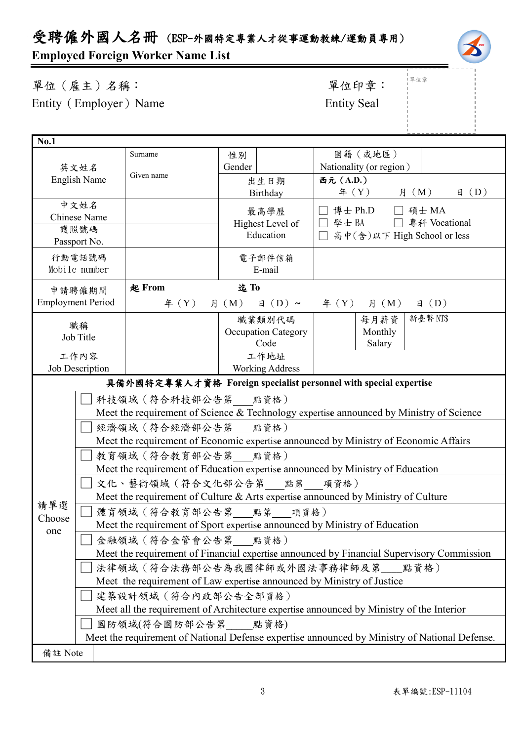# 受聘僱外國人名冊 (ESP-外國特定專業人才從事運動教練/運動員專用)

# **Employed Foreign Worker Name List**

單位(雇主)名稱: 第四章: 李位印章: 第一 Entity (Employer) Name Entity Seal

# 」<br>!單位章

| <b>No.1</b>                                                                                                   |                                                                                                                |                                                                                          |                            |                                                                                   |  |  |
|---------------------------------------------------------------------------------------------------------------|----------------------------------------------------------------------------------------------------------------|------------------------------------------------------------------------------------------|----------------------------|-----------------------------------------------------------------------------------|--|--|
|                                                                                                               |                                                                                                                | Surname                                                                                  | 性別                         | 國籍(或地區)                                                                           |  |  |
|                                                                                                               | 英文姓名                                                                                                           |                                                                                          | Gender                     | Nationality (or region)                                                           |  |  |
|                                                                                                               | <b>English Name</b>                                                                                            | Given name                                                                               | 出生日期                       | 西元 (A.D.)                                                                         |  |  |
|                                                                                                               |                                                                                                                |                                                                                          | Birthday                   | $\text{4}(Y)$ 月 $(M)$<br>$\boxplus$ (D)                                           |  |  |
|                                                                                                               | 中文姓名                                                                                                           |                                                                                          | 最高學歷                       | 博士 Ph.D<br>□ 碩士 MA                                                                |  |  |
|                                                                                                               | <b>Chinese Name</b>                                                                                            |                                                                                          | Highest Level of           | □ 學士 BA □ 專科 Vocational                                                           |  |  |
|                                                                                                               | 護照號碼                                                                                                           |                                                                                          | Education                  | 高中(含)以下 High School or less                                                       |  |  |
|                                                                                                               | Passport No.                                                                                                   |                                                                                          |                            |                                                                                   |  |  |
|                                                                                                               | 行動電話號碼                                                                                                         |                                                                                          | 電子郵件信箱                     |                                                                                   |  |  |
|                                                                                                               | Mobile number                                                                                                  |                                                                                          | E-mail                     |                                                                                   |  |  |
|                                                                                                               | 申請聘僱期間                                                                                                         | 起 From                                                                                   | 迄To                        |                                                                                   |  |  |
|                                                                                                               | <b>Employment Period</b>                                                                                       | $\text{4}$ $(Y)$                                                                         | $\boxplus$ (D) ~<br>月 (M)  | $\text{4}(Y)$ $\text{A}(M)$<br>$\boxplus$ (D)                                     |  |  |
|                                                                                                               | 職稱                                                                                                             |                                                                                          | 職業類別代碼                     | 新臺幣 NT\$<br>每月薪資                                                                  |  |  |
|                                                                                                               | Job Title                                                                                                      |                                                                                          | <b>Occupation Category</b> | Monthly                                                                           |  |  |
|                                                                                                               |                                                                                                                |                                                                                          | Code                       | Salary                                                                            |  |  |
|                                                                                                               | 工作內容                                                                                                           |                                                                                          | 工作地址                       |                                                                                   |  |  |
| Job Description<br><b>Working Address</b><br>具備外國特定專業人才資格 Foreign specialist personnel with special expertise |                                                                                                                |                                                                                          |                            |                                                                                   |  |  |
|                                                                                                               |                                                                                                                |                                                                                          |                            |                                                                                   |  |  |
|                                                                                                               |                                                                                                                | 科技領域 (符合科技部公告第___點資格)                                                                    |                            |                                                                                   |  |  |
|                                                                                                               | Meet the requirement of Science & Technology expertise announced by Ministry of Science<br>經濟領域 (符合經濟部公告第 點資格) |                                                                                          |                            |                                                                                   |  |  |
|                                                                                                               |                                                                                                                |                                                                                          |                            |                                                                                   |  |  |
|                                                                                                               |                                                                                                                | Meet the requirement of Economic expertise announced by Ministry of Economic Affairs     |                            |                                                                                   |  |  |
|                                                                                                               |                                                                                                                | 教育領域 (符合教育部公告第 點資格)                                                                      |                            |                                                                                   |  |  |
|                                                                                                               |                                                                                                                |                                                                                          |                            | Meet the requirement of Education expertise announced by Ministry of Education    |  |  |
|                                                                                                               | 文化、藝術領域 (符合文化部公告第 點第 項資格)                                                                                      |                                                                                          |                            |                                                                                   |  |  |
|                                                                                                               |                                                                                                                |                                                                                          |                            | Meet the requirement of Culture & Arts expertise announced by Ministry of Culture |  |  |
| 請單選<br>Choose                                                                                                 |                                                                                                                | 體育領域(符合教育部公告第 點第 項資格)                                                                    |                            |                                                                                   |  |  |
| one                                                                                                           | Meet the requirement of Sport expertise announced by Ministry of Education                                     |                                                                                          |                            |                                                                                   |  |  |
|                                                                                                               | 金融領域 (符合金管會公告第 點資格)                                                                                            |                                                                                          |                            |                                                                                   |  |  |
| Meet the requirement of Financial expertise announced by Financial Supervisory Commission                     |                                                                                                                |                                                                                          |                            |                                                                                   |  |  |
|                                                                                                               |                                                                                                                | 法律領域 (符合法務部公告為我國律師或外國法事務律師及第__點資格)                                                       |                            |                                                                                   |  |  |
|                                                                                                               |                                                                                                                | Meet the requirement of Law expertise announced by Ministry of Justice                   |                            |                                                                                   |  |  |
|                                                                                                               |                                                                                                                | 建築設計領域 (符合內政部公告全部資格)                                                                     |                            |                                                                                   |  |  |
|                                                                                                               |                                                                                                                | Meet all the requirement of Architecture expertise announced by Ministry of the Interior |                            |                                                                                   |  |  |
|                                                                                                               |                                                                                                                | 國防領域(符合國防部公告第 點資格)                                                                       |                            |                                                                                   |  |  |
|                                                                                                               | Meet the requirement of National Defense expertise announced by Ministry of National Defense.                  |                                                                                          |                            |                                                                                   |  |  |
| 備註 Note                                                                                                       |                                                                                                                |                                                                                          |                            |                                                                                   |  |  |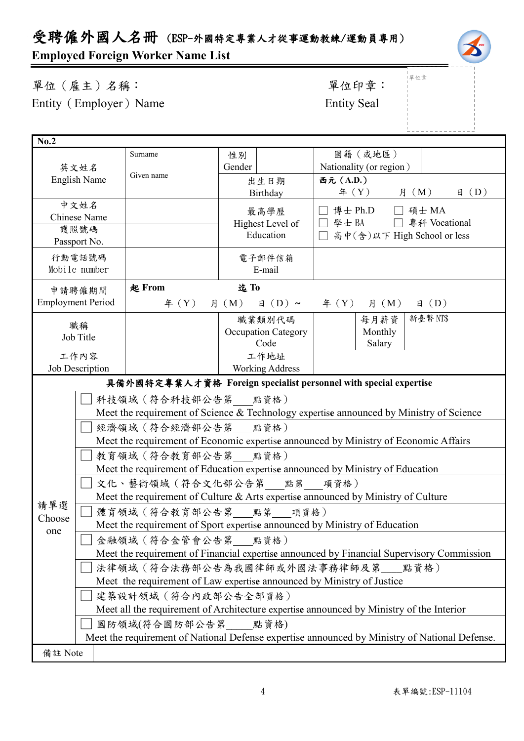# 受聘僱外國人名冊 (ESP-外國特定專業人才從事運動教練/運動員專用)

# **Employed Foreign Worker Name List**

單位(雇主)名稱: 第四章: 李位印章: 第一 Entity (Employer) Name Entity Seal

」<br>1單位章

| No.2                                                                                      |                                                                                                                |                        |                           |                                                                                   |  |
|-------------------------------------------------------------------------------------------|----------------------------------------------------------------------------------------------------------------|------------------------|---------------------------|-----------------------------------------------------------------------------------|--|
|                                                                                           |                                                                                                                | Surname                | 性別                        | 國籍(或地區)                                                                           |  |
|                                                                                           | 英文姓名                                                                                                           |                        | Gender                    | Nationality (or region)                                                           |  |
|                                                                                           | <b>English Name</b>                                                                                            | Given name             | 出生日期                      | 西元 (A.D.)                                                                         |  |
|                                                                                           |                                                                                                                |                        | Birthday                  | 月 (M)<br>$\boxplus$ (D)<br>$\text{4}$ $(Y)$                                       |  |
|                                                                                           | 中文姓名                                                                                                           |                        | 最高學歷                      | □ 博士 Ph.D □ 碩士 MA                                                                 |  |
|                                                                                           | Chinese Name                                                                                                   |                        | Highest Level of          | 學士 BA □ 專科 Vocational<br>$\perp$                                                  |  |
|                                                                                           | 護照號碼                                                                                                           |                        | Education                 | □ 高中(含)以下 High School or less                                                     |  |
|                                                                                           | Passport No.                                                                                                   |                        |                           |                                                                                   |  |
|                                                                                           | 行動電話號碼                                                                                                         |                        | 電子郵件信箱                    |                                                                                   |  |
|                                                                                           | Mobile number                                                                                                  |                        | E-mail                    |                                                                                   |  |
|                                                                                           | 申請聘僱期間                                                                                                         | 起 From                 | 迄To                       |                                                                                   |  |
|                                                                                           | <b>Employment Period</b>                                                                                       | $\text{4}(Y)$          | $\boxplus$ (D) ~<br>月 (M) | $\text{4}(Y)$ 月 (M)<br>$\boxplus$ (D)                                             |  |
|                                                                                           | 職稱                                                                                                             |                        | 職業類別代碼                    | 新臺幣 NT\$<br>每月薪資                                                                  |  |
|                                                                                           | Job Title                                                                                                      |                        | Occupation Category       | Monthly                                                                           |  |
|                                                                                           |                                                                                                                |                        | Code                      | Salary                                                                            |  |
|                                                                                           | 工作內容                                                                                                           |                        | 工作地址                      |                                                                                   |  |
|                                                                                           | <b>Working Address</b><br>Job Description                                                                      |                        |                           |                                                                                   |  |
|                                                                                           |                                                                                                                |                        |                           | 具備外國特定專業人才資格 Foreign specialist personnel with special expertise                  |  |
|                                                                                           |                                                                                                                | 科技領域 (符合科技部公告第 __ 點資格) |                           |                                                                                   |  |
|                                                                                           | Meet the requirement of Science & Technology expertise announced by Ministry of Science<br>經濟領域 (符合經濟部公告第 點資格) |                        |                           |                                                                                   |  |
|                                                                                           |                                                                                                                |                        |                           |                                                                                   |  |
|                                                                                           | Meet the requirement of Economic expertise announced by Ministry of Economic Affairs                           |                        |                           |                                                                                   |  |
|                                                                                           |                                                                                                                | 教育領域 (符合教育部公告第 點資格)    |                           |                                                                                   |  |
|                                                                                           |                                                                                                                |                        |                           | Meet the requirement of Education expertise announced by Ministry of Education    |  |
|                                                                                           | 文化、藝術領域(符合文化部公告第___點第___項資格)                                                                                   |                        |                           |                                                                                   |  |
|                                                                                           |                                                                                                                |                        |                           | Meet the requirement of Culture & Arts expertise announced by Ministry of Culture |  |
| 請單選                                                                                       | 體育領域 (符合教育部公告第 點第 項資格)                                                                                         |                        |                           |                                                                                   |  |
| Choose<br>one                                                                             | Meet the requirement of Sport expertise announced by Ministry of Education                                     |                        |                           |                                                                                   |  |
|                                                                                           |                                                                                                                | 金融領域 (符合金管會公告第 點資格)    |                           |                                                                                   |  |
| Meet the requirement of Financial expertise announced by Financial Supervisory Commission |                                                                                                                |                        |                           |                                                                                   |  |
|                                                                                           | 法律領域(符合法務部公告為我國律師或外國法事務律師及第__點資格)                                                                              |                        |                           |                                                                                   |  |
|                                                                                           | Meet the requirement of Law expertise announced by Ministry of Justice                                         |                        |                           |                                                                                   |  |
|                                                                                           | 建築設計領域 (符合內政部公告全部資格)                                                                                           |                        |                           |                                                                                   |  |
|                                                                                           | Meet all the requirement of Architecture expertise announced by Ministry of the Interior                       |                        |                           |                                                                                   |  |
|                                                                                           | 國防領域(符合國防部公告第 點資格)                                                                                             |                        |                           |                                                                                   |  |
|                                                                                           | Meet the requirement of National Defense expertise announced by Ministry of National Defense.                  |                        |                           |                                                                                   |  |
| 備註 Note                                                                                   |                                                                                                                |                        |                           |                                                                                   |  |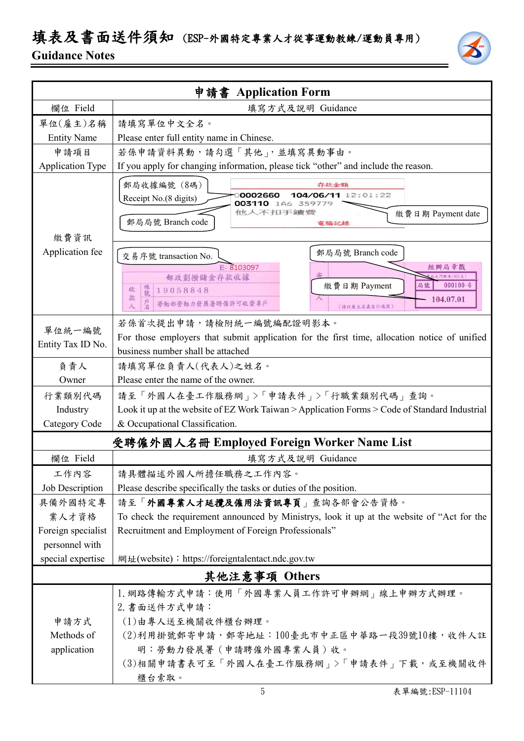# 填表及書面送件須知 (ESP-外國特定專業人才從事運動教練/運動員專用)

### **Guidance Notes**

| 申請書 Application Form    |                                                                                               |  |  |  |
|-------------------------|-----------------------------------------------------------------------------------------------|--|--|--|
| 欄位 Field                | 填寫方式及說明 Guidance                                                                              |  |  |  |
| 單位(雇主)名稱                | 請填寫單位中文全名。                                                                                    |  |  |  |
| <b>Entity Name</b>      | Please enter full entity name in Chinese.                                                     |  |  |  |
| 申請項目                    | 若係申請資料異動,請勾選「其他」,並填寫異動事由。                                                                     |  |  |  |
| <b>Application Type</b> | If you apply for changing information, please tick "other" and include the reason.            |  |  |  |
|                         | 郵局收據編號 (8碼)<br>存款金額                                                                           |  |  |  |
|                         | 104/06/11 12:01:22<br>0002660<br>Receipt No.(8 digits)<br>003110 1A6 359779                   |  |  |  |
|                         | 他人不扣手續發<br>繳費日期 Payment date                                                                  |  |  |  |
|                         | 郵局局號 Branch code<br>電腦記錄                                                                      |  |  |  |
| 繳費資訊                    |                                                                                               |  |  |  |
| Application fee         | 郵局局號 Branch code<br>交易序號 transaction No.                                                      |  |  |  |
|                         | E-8103097<br>經辦局章戳<br>北門郵局(901支)<br>郵政劃撥儲金存款收據                                                |  |  |  |
|                         | 繳費日期 Payment<br>局號<br>$000100 - 6$<br>帳號<br>收<br>19058848                                     |  |  |  |
|                         | 款<br>104.07.01<br>戶名<br>勞動部勞動力發展署聘僱許可收費專戶<br>人<br>(請以雇主名義自行填寫)                                |  |  |  |
|                         | 若係首次提出申請,請檢附統一編號編配證明影本。                                                                       |  |  |  |
| 單位統一編號                  | For those employers that submit application for the first time, allocation notice of unified  |  |  |  |
| Entity Tax ID No.       | business number shall be attached                                                             |  |  |  |
| 負責人                     | 請填寫單位負責人(代表人)之姓名。                                                                             |  |  |  |
| Owner                   | Please enter the name of the owner.                                                           |  |  |  |
| 行業類別代碼                  | 請至「外國人在臺工作服務網」>「申請表件」>「行職業類別代碼」查詢。                                                            |  |  |  |
| Industry                | Look it up at the website of EZ Work Taiwan > Application Forms > Code of Standard Industrial |  |  |  |
| Category Code           | & Occupational Classification.                                                                |  |  |  |
|                         | 受聘僱外國人名冊 Employed Foreign Worker Name List                                                    |  |  |  |
| 欄位 Field                | 填寫方式及說明 Guidance                                                                              |  |  |  |
| 工作內容                    | 請具體描述外國人所擔任職務之工作內容。                                                                           |  |  |  |
| Job Description         | Please describe specifically the tasks or duties of the position.                             |  |  |  |
| 具備外國特定專                 | 請至「外國專業人才延攬及僱用法資訊專頁」查詢各部會公告資格。                                                                |  |  |  |
| 業人才資格                   | To check the requirement announced by Ministrys, look it up at the website of "Act for the    |  |  |  |
| Foreign specialist      | Recruitment and Employment of Foreign Professionals"                                          |  |  |  |
| personnel with          |                                                                                               |  |  |  |
| special expertise       | 網址(website): https://foreigntalentact.ndc.gov.tw                                              |  |  |  |
| 其他注意事項 Others           |                                                                                               |  |  |  |
|                         | 1. 網路傳輸方式申請:使用「外國專業人員工作許可申辦網」線上申辦方式辦理。                                                        |  |  |  |
|                         | 2. 書面送件方式申請:                                                                                  |  |  |  |
| 申請方式                    | (1)由專人送至機關收件櫃台辦理。                                                                             |  |  |  |
| Methods of              | (2)利用掛號郵寄申請,郵寄地址:100臺北市中正區中華路一段39號10樓,收件人註                                                    |  |  |  |
| application             | 明:勞動力發展署(申請聘僱外國專業人員)收。                                                                        |  |  |  |
|                         | (3)相關申請書表可至「外國人在臺工作服務網」>「申請表件」下載,或至機關收件                                                       |  |  |  |

櫃台索取。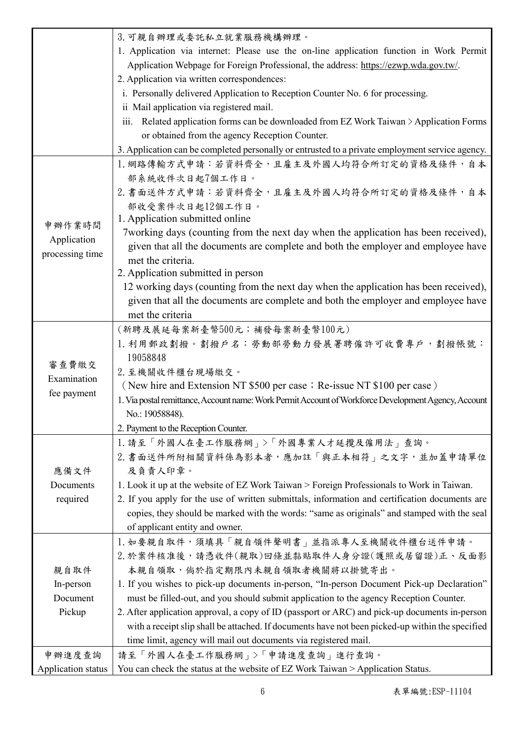|                    | 3. 可親自辦理或委託私立就業服務機構辦理。                                                                               |
|--------------------|------------------------------------------------------------------------------------------------------|
|                    | 1. Application via internet: Please use the on-line application function in Work Permit              |
|                    | Application Webpage for Foreign Professional, the address: https://ezwp.wda.gov.tw/.                 |
|                    | 2. Application via written correspondences:                                                          |
|                    | i. Personally delivered Application to Reception Counter No. 6 for processing.                       |
|                    | ii Mail application via registered mail.                                                             |
|                    | iii. Related application forms can be downloaded from EZ Work Taiwan > Application Forms             |
|                    | or obtained from the agency Reception Counter.                                                       |
|                    | 3. Application can be completed personally or entrusted to a private employment service agency.      |
|                    | 1. 網路傳輸方式申請:若資料齊全,且雇主及外國人均符合所訂定的資格及條件,自本                                                             |
|                    | 部系統收件次日起7個工作日。                                                                                       |
|                    | 2. 書面送件方式申請:若資料齊全,且雇主及外國人均符合所訂定的資格及條件,自本                                                             |
|                    | 部收受案件次日起12個工作日。                                                                                      |
| 申辦作業時間             | 1. Application submitted online                                                                      |
| Application        | 7 working days (counting from the next day when the application has been received),                  |
| processing time    | given that all the documents are complete and both the employer and employee have                    |
|                    | met the criteria.<br>2. Application submitted in person                                              |
|                    | 12 working days (counting from the next day when the application has been received),                 |
|                    | given that all the documents are complete and both the employer and employee have                    |
|                    | met the criteria                                                                                     |
|                    | (新聘及展延每案新臺幣500元;補發每案新臺幣100元)                                                                         |
|                    | 1. 利用郵政劃撥。劃撥戶名:勞動部勞動力發展署聘僱許可收費專戶,劃撥帳號:                                                               |
|                    | 19058848                                                                                             |
| 審查費繳交              | 2. 至機關收件櫃台現場繳交。                                                                                      |
| Examination        | (New hire and Extension NT \$500 per case; Re-issue NT \$100 per case)                               |
| fee payment        | 1. Via postal remittance, Account name: Work Permit Account of Workforce Development Agency, Account |
|                    | No.: 19058848).                                                                                      |
|                    | 2. Payment to the Reception Counter.                                                                 |
|                    | 1. 請至「外國人在臺工作服務網」>「外國專業人才延攬及僱用法」查詢。                                                                  |
|                    | 2. 書面送件所附相關資料係為影本者,應加註「與正本相符」之文字,並加蓋申請單位                                                             |
| 應備文件               | 及負責人印章。                                                                                              |
| Documents          | 1. Look it up at the website of EZ Work Taiwan > Foreign Professionals to Work in Taiwan.            |
| required           | 2. If you apply for the use of written submittals, information and certification documents are       |
|                    | copies, they should be marked with the words: "same as originals" and stamped with the seal          |
|                    | of applicant entity and owner.                                                                       |
|                    | 1. 如要親自取件,須填具「親自領件聲明書」並指派專人至機關收件櫃台送件申請。                                                              |
|                    | 2. 於案件核准後,請憑收件(親取)回條並黏貼取件人身分證(護照或居留證)正、反面影                                                           |
| 親自取件               | 本親自領取,倘於指定期限內未親自領取者機關將以掛號寄出。                                                                         |
| In-person          | 1. If you wishes to pick-up documents in-person, "In-person Document Pick-up Declaration"            |
| Document           | must be filled-out, and you should submit application to the agency Reception Counter.               |
| Pickup             | 2. After application approval, a copy of ID (passport or ARC) and pick-up documents in-person        |
|                    | with a receipt slip shall be attached. If documents have not been picked-up within the specified     |
|                    | time limit, agency will mail out documents via registered mail.                                      |
| 申辦進度查詢             | 請至「外國人在臺工作服務網」>「申請進度查詢」進行查詢。                                                                         |
| Application status | You can check the status at the website of EZ Work Taiwan > Application Status.                      |